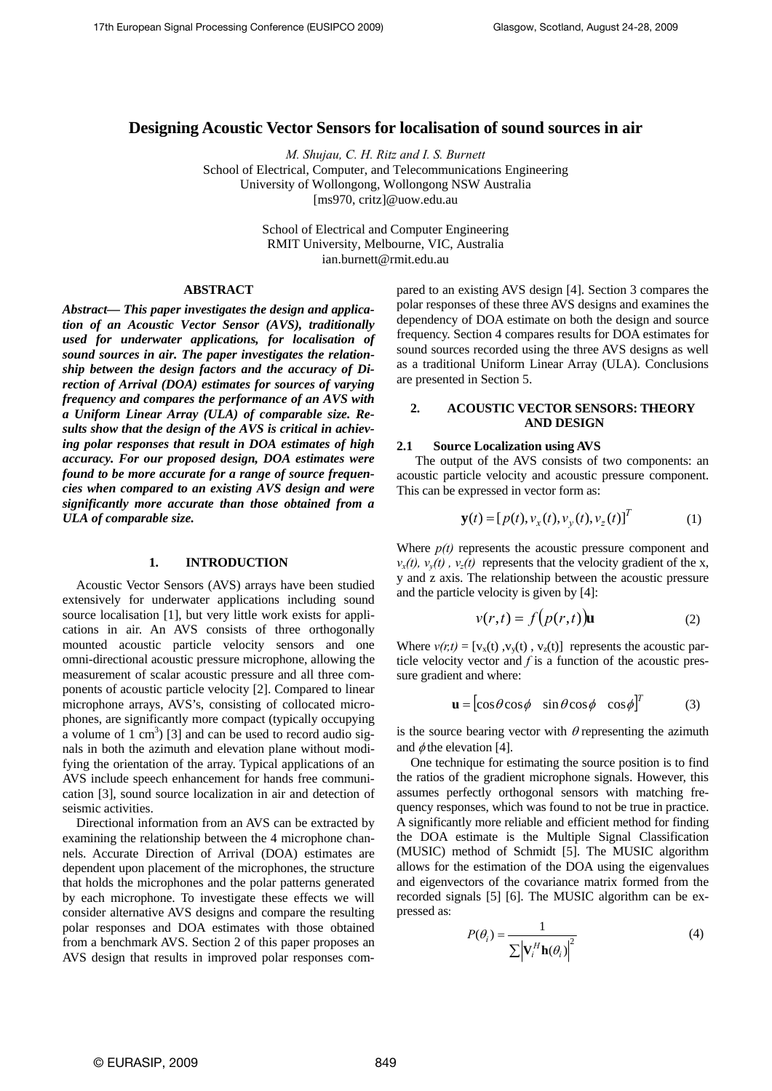# **Designing Acoustic Vector Sensors for localisation of sound sources in air**

*M. Shujau, C. H. Ritz and I. S. Burnett* School of Electrical, Computer, and Telecommunications Engineering University of Wollongong, Wollongong NSW Australia [ms970, critz]@uow.edu.au

> School of Electrical and Computer Engineering RMIT University, Melbourne, VIC, Australia ian.burnett@rmit.edu.au

# **ABSTRACT**

*Abstract— This paper investigates the design and application of an Acoustic Vector Sensor (AVS), traditionally used for underwater applications, for localisation of sound sources in air. The paper investigates the relationship between the design factors and the accuracy of Direction of Arrival (DOA) estimates for sources of varying frequency and compares the performance of an AVS with a Uniform Linear Array (ULA) of comparable size. Results show that the design of the AVS is critical in achieving polar responses that result in DOA estimates of high accuracy. For our proposed design, DOA estimates were found to be more accurate for a range of source frequencies when compared to an existing AVS design and were significantly more accurate than those obtained from a ULA of comparable size.* 

## **1. INTRODUCTION**

Acoustic Vector Sensors (AVS) arrays have been studied extensively for underwater applications including sound source localisation [1], but very little work exists for applications in air. An AVS consists of three orthogonally mounted acoustic particle velocity sensors and one omni-directional acoustic pressure microphone, allowing the measurement of scalar acoustic pressure and all three components of acoustic particle velocity [2]. Compared to linear microphone arrays, AVS's, consisting of collocated microphones, are significantly more compact (typically occupying a volume of  $1 \text{ cm}^3$ ) [3] and can be used to record audio signals in both the azimuth and elevation plane without modifying the orientation of the array. Typical applications of an AVS include speech enhancement for hands free communication [3], sound source localization in air and detection of seismic activities.

Directional information from an AVS can be extracted by examining the relationship between the 4 microphone channels. Accurate Direction of Arrival (DOA) estimates are dependent upon placement of the microphones, the structure that holds the microphones and the polar patterns generated by each microphone. To investigate these effects we will consider alternative AVS designs and compare the resulting polar responses and DOA estimates with those obtained from a benchmark AVS. Section 2 of this paper proposes an AVS design that results in improved polar responses compared to an existing AVS design [4]. Section 3 compares the polar responses of these three AVS designs and examines the dependency of DOA estimate on both the design and source frequency. Section 4 compares results for DOA estimates for sound sources recorded using the three AVS designs as well as a traditional Uniform Linear Array (ULA). Conclusions are presented in Section 5.

# **2. ACOUSTIC VECTOR SENSORS: THEORY AND DESIGN**

# **2.1 Source Localization using AVS**

The output of the AVS consists of two components: an acoustic particle velocity and acoustic pressure component. This can be expressed in vector form as:

$$
\mathbf{y}(t) = [p(t), v_x(t), v_y(t), v_z(t)]^T
$$
 (1)

Where  $p(t)$  represents the acoustic pressure component and  $v_x(t)$ ,  $v_y(t)$ ,  $v_z(t)$  represents that the velocity gradient of the x, y and z axis. The relationship between the acoustic pressure and the particle velocity is given by [4]:

$$
v(r,t) = f\big(p(r,t)\big)\mathbf{u} \tag{2}
$$

Where  $v(r,t) = [v_x(t), v_y(t), v_z(t)]$  represents the acoustic particle velocity vector and *f* is a function of the acoustic pressure gradient and where:

$$
\mathbf{u} = [\cos\theta \cos\phi \quad \sin\theta \cos\phi \quad \cos\phi]^T \tag{3}
$$

is the source bearing vector with  $\theta$  representing the azimuth and  $\phi$  the elevation [4].

One technique for estimating the source position is to find the ratios of the gradient microphone signals. However, this assumes perfectly orthogonal sensors with matching frequency responses, which was found to not be true in practice. A significantly more reliable and efficient method for finding the DOA estimate is the Multiple Signal Classification (MUSIC) method of Schmidt [5]. The MUSIC algorithm allows for the estimation of the DOA using the eigenvalues and eigenvectors of the covariance matrix formed from the recorded signals [5] [6]. The MUSIC algorithm can be expressed as:

$$
P(\theta_i) = \frac{1}{\sum \left| \mathbf{V}_i^H \mathbf{h}(\theta_i) \right|^2}
$$
 (4)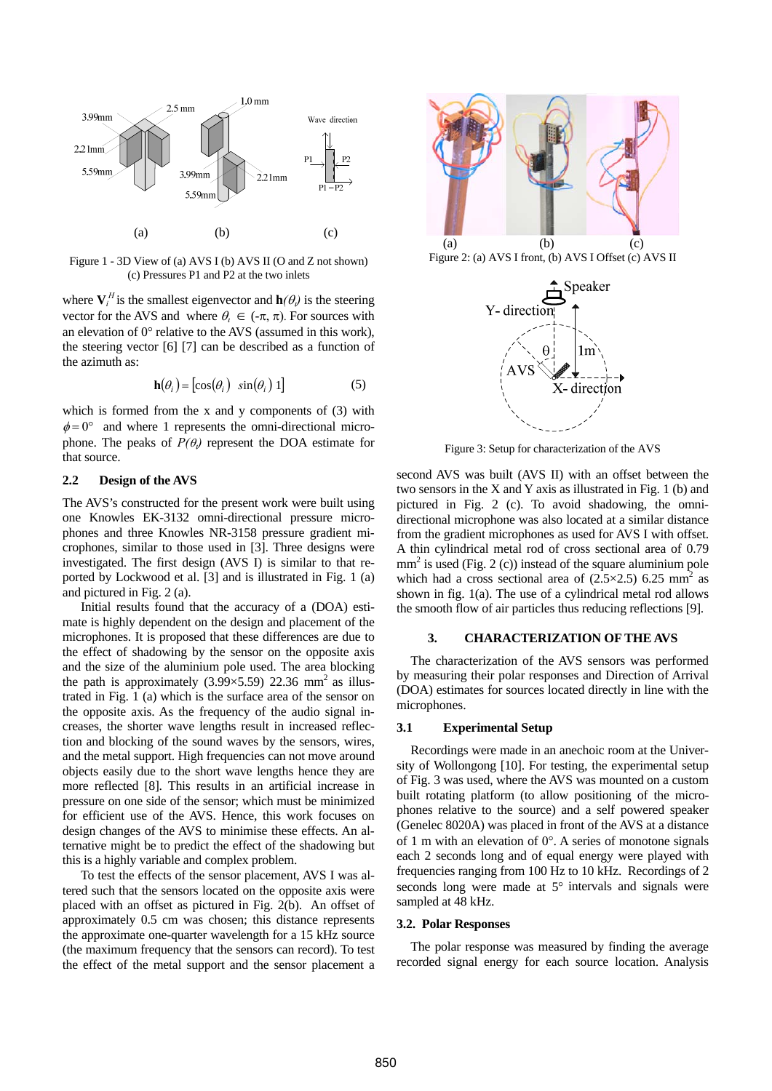

Figure 1 - 3D View of (a) AVS I (b) AVS II (O and Z not shown) (c) Pressures P1 and P2 at the two inlets

where  $V_i^H$  is the smallest eigenvector and  $h(\theta_i)$  is the steering vector for the AVS and where  $\theta_i \in (-\pi, \pi)$ . For sources with an elevation of 0° relative to the AVS (assumed in this work), the steering vector [6] [7] can be described as a function of the azimuth as:

$$
\mathbf{h}(\theta_i) = [\cos(\theta_i) \ \sin(\theta_i) \ 1] \tag{5}
$$

which is formed from the x and y components of  $(3)$  with  $\phi = 0^{\circ}$  and where 1 represents the omni-directional microphone. The peaks of  $P(\theta_i)$  represent the DOA estimate for that source.

# **2.2 Design of the AVS**

The AVS's constructed for the present work were built using one Knowles EK-3132 omni-directional pressure microphones and three Knowles NR-3158 pressure gradient microphones, similar to those used in [3]. Three designs were investigated. The first design (AVS I) is similar to that reported by Lockwood et al. [3] and is illustrated in Fig. 1 (a) and pictured in Fig. 2 (a).

Initial results found that the accuracy of a (DOA) estimate is highly dependent on the design and placement of the microphones. It is proposed that these differences are due to the effect of shadowing by the sensor on the opposite axis and the size of the aluminium pole used. The area blocking the path is approximately (3.99 $\times$ 5.59) 22.36 mm<sup>2</sup> as illustrated in Fig. 1 (a) which is the surface area of the sensor on the opposite axis. As the frequency of the audio signal increases, the shorter wave lengths result in increased reflection and blocking of the sound waves by the sensors, wires, and the metal support. High frequencies can not move around objects easily due to the short wave lengths hence they are more reflected [8]. This results in an artificial increase in pressure on one side of the sensor; which must be minimized for efficient use of the AVS. Hence, this work focuses on design changes of the AVS to minimise these effects. An alternative might be to predict the effect of the shadowing but this is a highly variable and complex problem.

To test the effects of the sensor placement, AVS I was altered such that the sensors located on the opposite axis were placed with an offset as pictured in Fig. 2(b). An offset of approximately 0.5 cm was chosen; this distance represents the approximate one-quarter wavelength for a 15 kHz source (the maximum frequency that the sensors can record). To test the effect of the metal support and the sensor placement a



Figure 2: (a) AVS I front, (b) AVS I Offset (c) AVS II



Figure 3: Setup for characterization of the AVS

second AVS was built (AVS II) with an offset between the two sensors in the X and Y axis as illustrated in Fig. 1 (b) and pictured in Fig. 2 (c). To avoid shadowing, the omnidirectional microphone was also located at a similar distance from the gradient microphones as used for AVS I with offset. A thin cylindrical metal rod of cross sectional area of 0.79  $mm<sup>2</sup>$  is used (Fig. 2 (c)) instead of the square aluminium pole which had a cross sectional area of  $(2.5 \times 2.5)$  6.25 mm<sup>2</sup> as shown in fig. 1(a). The use of a cylindrical metal rod allows the smooth flow of air particles thus reducing reflections [9].

# **3. CHARACTERIZATION OF THE AVS**

The characterization of the AVS sensors was performed by measuring their polar responses and Direction of Arrival (DOA) estimates for sources located directly in line with the microphones.

# **3.1 Experimental Setup**

Recordings were made in an anechoic room at the University of Wollongong [10]. For testing, the experimental setup of Fig. 3 was used, where the AVS was mounted on a custom built rotating platform (to allow positioning of the microphones relative to the source) and a self powered speaker (Genelec 8020A) was placed in front of the AVS at a distance of 1 m with an elevation of  $0^\circ$ . A series of monotone signals each 2 seconds long and of equal energy were played with frequencies ranging from 100 Hz to 10 kHz. Recordings of 2 seconds long were made at 5° intervals and signals were sampled at 48 kHz.

## **3.2. Polar Responses**

The polar response was measured by finding the average recorded signal energy for each source location. Analysis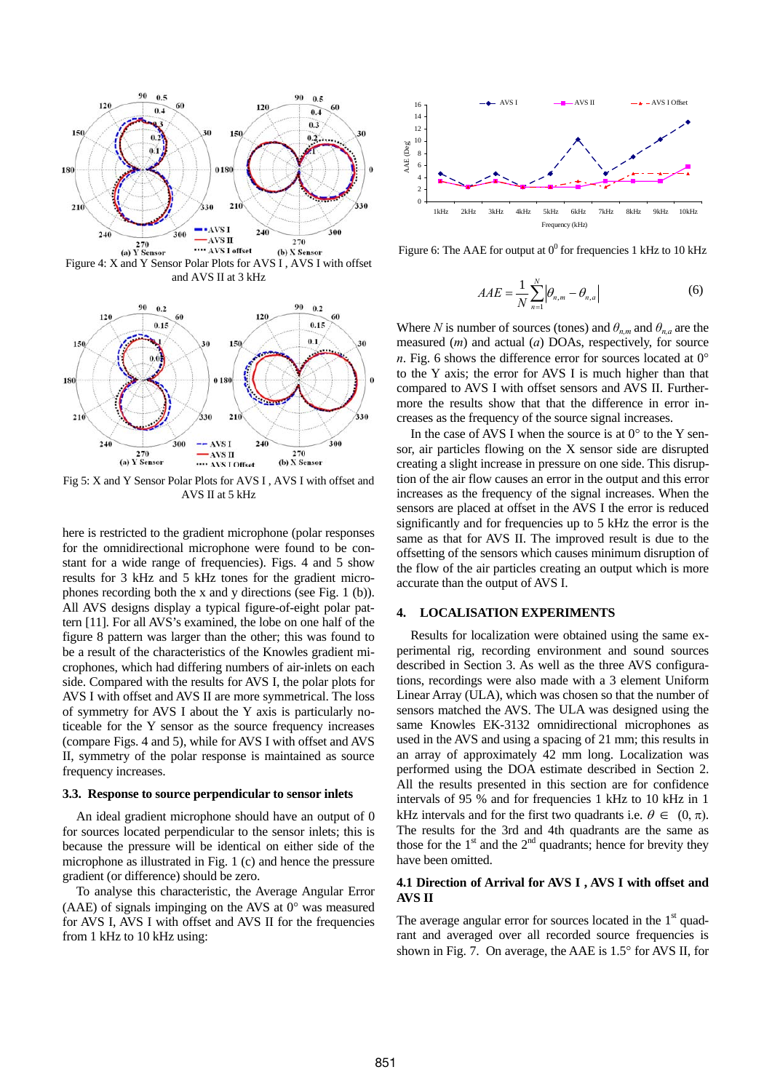

Figure 4: X and Y Sensor Polar Plots for AVS I , AVS I with offset and AVS II at 3 kHz



Fig 5: X and Y Sensor Polar Plots for AVS I , AVS I with offset and AVS II at 5 kHz

here is restricted to the gradient microphone (polar responses for the omnidirectional microphone were found to be constant for a wide range of frequencies). Figs. 4 and 5 show results for 3 kHz and 5 kHz tones for the gradient microphones recording both the x and y directions (see Fig. 1 (b)). All AVS designs display a typical figure-of-eight polar pattern [11]. For all AVS's examined, the lobe on one half of the figure 8 pattern was larger than the other; this was found to be a result of the characteristics of the Knowles gradient microphones, which had differing numbers of air-inlets on each side. Compared with the results for AVS I, the polar plots for AVS I with offset and AVS II are more symmetrical. The loss of symmetry for AVS I about the Y axis is particularly noticeable for the Y sensor as the source frequency increases (compare Figs. 4 and 5), while for AVS I with offset and AVS II, symmetry of the polar response is maintained as source frequency increases.

### **3.3. Response to source perpendicular to sensor inlets**

An ideal gradient microphone should have an output of 0 for sources located perpendicular to the sensor inlets; this is because the pressure will be identical on either side of the microphone as illustrated in Fig. 1 (c) and hence the pressure gradient (or difference) should be zero.

To analyse this characteristic, the Average Angular Error (AAE) of signals impinging on the AVS at  $0^{\circ}$  was measured for AVS I, AVS I with offset and AVS II for the frequencies from 1 kHz to 10 kHz using:



Figure 6: The AAE for output at  $0^0$  for frequencies 1 kHz to 10 kHz

$$
AAE = \frac{1}{N} \sum_{n=1}^{N} \left| \theta_{n,m} - \theta_{n,a} \right| \tag{6}
$$

Where *N* is number of sources (tones) and  $\theta_{n,m}$  and  $\theta_{n,a}$  are the measured (*m*) and actual (*a*) DOAs, respectively, for source *n*. Fig. 6 shows the difference error for sources located at  $0^{\circ}$ to the Y axis; the error for AVS I is much higher than that compared to AVS I with offset sensors and AVS II. Furthermore the results show that that the difference in error increases as the frequency of the source signal increases.

In the case of AVS I when the source is at  $0^{\circ}$  to the Y sensor, air particles flowing on the X sensor side are disrupted creating a slight increase in pressure on one side. This disruption of the air flow causes an error in the output and this error increases as the frequency of the signal increases. When the sensors are placed at offset in the AVS I the error is reduced significantly and for frequencies up to 5 kHz the error is the same as that for AVS II. The improved result is due to the offsetting of the sensors which causes minimum disruption of the flow of the air particles creating an output which is more accurate than the output of AVS I.

## **4. LOCALISATION EXPERIMENTS**

Results for localization were obtained using the same experimental rig, recording environment and sound sources described in Section 3. As well as the three AVS configurations, recordings were also made with a 3 element Uniform Linear Array (ULA), which was chosen so that the number of sensors matched the AVS. The ULA was designed using the same Knowles EK-3132 omnidirectional microphones as used in the AVS and using a spacing of 21 mm; this results in an array of approximately 42 mm long. Localization was performed using the DOA estimate described in Section 2. All the results presented in this section are for confidence intervals of 95 % and for frequencies 1 kHz to 10 kHz in 1 kHz intervals and for the first two quadrants i.e.  $\theta \in (0, \pi)$ . The results for the 3rd and 4th quadrants are the same as those for the  $1<sup>st</sup>$  and the  $2<sup>nd</sup>$  quadrants; hence for brevity they have been omitted.

## **4.1 Direction of Arrival for AVS I , AVS I with offset and AVS II**

The average angular error for sources located in the  $1<sup>st</sup>$  quadrant and averaged over all recorded source frequencies is shown in Fig. 7. On average, the AAE is 1.5° for AVS II, for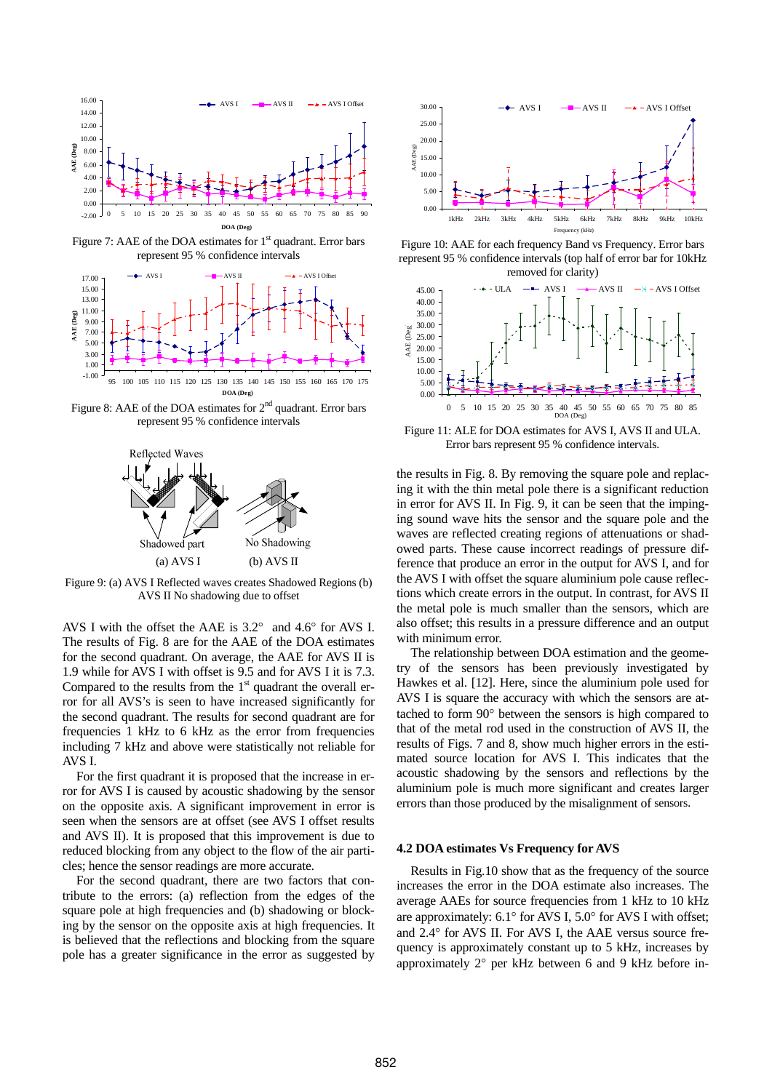

Figure 7: AAE of the DOA estimates for  $1<sup>st</sup>$  quadrant. Error bars represent 95 % confidence intervals



Figure 8: AAE of the DOA estimates for  $2<sup>nd</sup>$  quadrant. Error bars



Figure 9: (a) AVS I Reflected waves creates Shadowed Regions (b) AVS II No shadowing due to offset

AVS I with the offset the AAE is 3.2° and 4.6° for AVS I. The results of Fig. 8 are for the AAE of the DOA estimates for the second quadrant. On average, the AAE for AVS II is 1.9 while for AVS I with offset is 9.5 and for AVS I it is 7.3. Compared to the results from the  $1<sup>st</sup>$  quadrant the overall error for all AVS's is seen to have increased significantly for the second quadrant. The results for second quadrant are for frequencies 1 kHz to 6 kHz as the error from frequencies including 7 kHz and above were statistically not reliable for AVS I.

For the first quadrant it is proposed that the increase in error for AVS I is caused by acoustic shadowing by the sensor on the opposite axis. A significant improvement in error is seen when the sensors are at offset (see AVS I offset results and AVS II). It is proposed that this improvement is due to reduced blocking from any object to the flow of the air particles; hence the sensor readings are more accurate.

For the second quadrant, there are two factors that contribute to the errors: (a) reflection from the edges of the square pole at high frequencies and (b) shadowing or blocking by the sensor on the opposite axis at high frequencies. It is believed that the reflections and blocking from the square pole has a greater significance in the error as suggested by



Figure 10: AAE for each frequency Band vs Frequency. Error bars represent 95 % confidence intervals (top half of error bar for 10kHz removed for clarity)



represent 95 % confidence intervals<br>Figure 11: ALE for DOA estimates for AVS I, AVS II and ULA. Error bars represent 95 % confidence intervals.

the results in Fig. 8. By removing the square pole and replacing it with the thin metal pole there is a significant reduction in error for AVS II. In Fig. 9, it can be seen that the impinging sound wave hits the sensor and the square pole and the waves are reflected creating regions of attenuations or shadowed parts. These cause incorrect readings of pressure difference that produce an error in the output for AVS I, and for the AVS I with offset the square aluminium pole cause reflections which create errors in the output. In contrast, for AVS II the metal pole is much smaller than the sensors, which are also offset; this results in a pressure difference and an output with minimum error.

The relationship between DOA estimation and the geometry of the sensors has been previously investigated by Hawkes et al. [12]. Here, since the aluminium pole used for AVS I is square the accuracy with which the sensors are attached to form 90° between the sensors is high compared to that of the metal rod used in the construction of AVS II, the results of Figs. 7 and 8, show much higher errors in the estimated source location for AVS I. This indicates that the acoustic shadowing by the sensors and reflections by the aluminium pole is much more significant and creates larger errors than those produced by the misalignment of sensors.

## **4.2 DOA estimates Vs Frequency for AVS**

Results in Fig.10 show that as the frequency of the source increases the error in the DOA estimate also increases. The average AAEs for source frequencies from 1 kHz to 10 kHz are approximately: 6.1° for AVS I, 5.0° for AVS I with offset; and 2.4° for AVS II. For AVS I, the AAE versus source frequency is approximately constant up to 5 kHz, increases by approximately 2° per kHz between 6 and 9 kHz before in